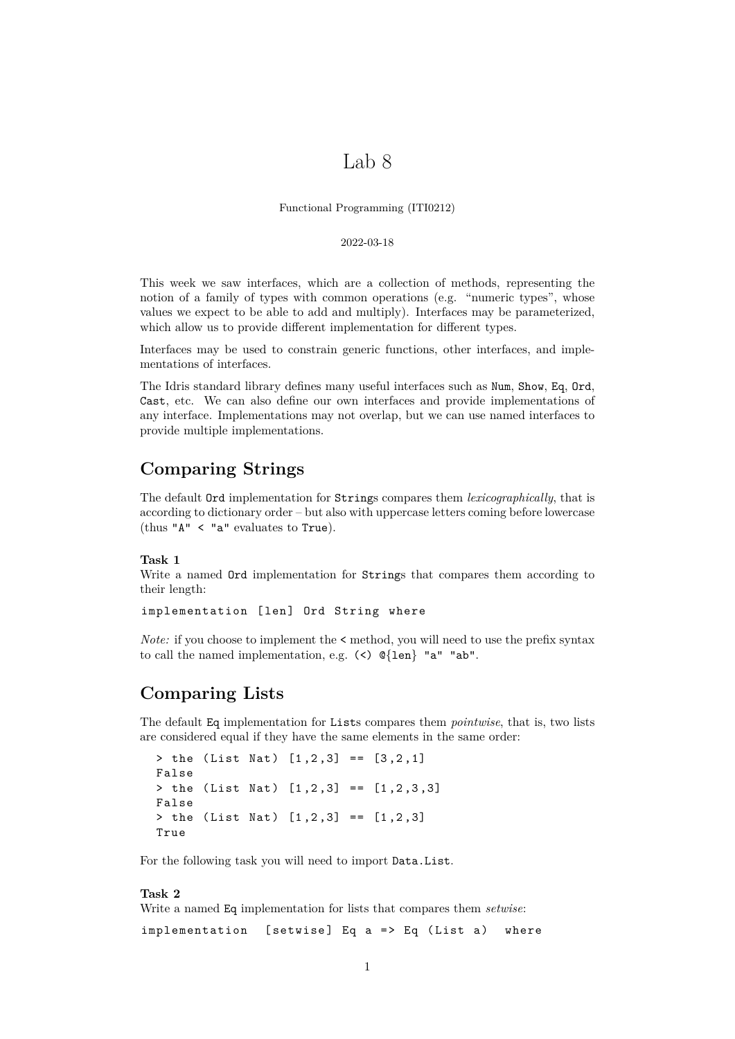# Lab 8

Functional Programming (ITI0212)

#### 2022-03-18

This week we saw interfaces, which are a collection of methods, representing the notion of a family of types with common operations (e.g. "numeric types", whose values we expect to be able to add and multiply). Interfaces may be parameterized, which allow us to provide different implementation for different types.

Interfaces may be used to constrain generic functions, other interfaces, and implementations of interfaces.

The Idris standard library defines many useful interfaces such as Num, Show, Eq, Ord, Cast, etc. We can also define our own interfaces and provide implementations of any interface. Implementations may not overlap, but we can use named interfaces to provide multiple implementations.

## **Comparing Strings**

The default Ord implementation for Strings compares them *lexicographically*, that is according to dictionary order – but also with uppercase letters coming before lowercase (thus "A" < "a" evaluates to True).

### **Task 1**

Write a named Ord implementation for Strings that compares them according to their length:

```
implementation [len] Ord String where
```
*Note:* if you choose to implement the  $\leq$  method, you will need to use the prefix syntax to call the named implementation, e.g. (<) @{len} "a" "ab".

### **Comparing Lists**

The default Eq implementation for Lists compares them *pointwise*, that is, two lists are considered equal if they have the same elements in the same order:

```
> the (List Nat) [1, 2, 3] == [3, 2, 1]False
> the (List Nat) [1,2,3] == [1,2,3,3]
False
> the (List Nat) [1, 2, 3] == [1, 2, 3]True
```
For the following task you will need to import Data.List.

#### **Task 2**

Write a named Eq implementation for lists that compares them *setwise*:

implementation [setwise] Eq  $a \Rightarrow Eq$  (List a) where